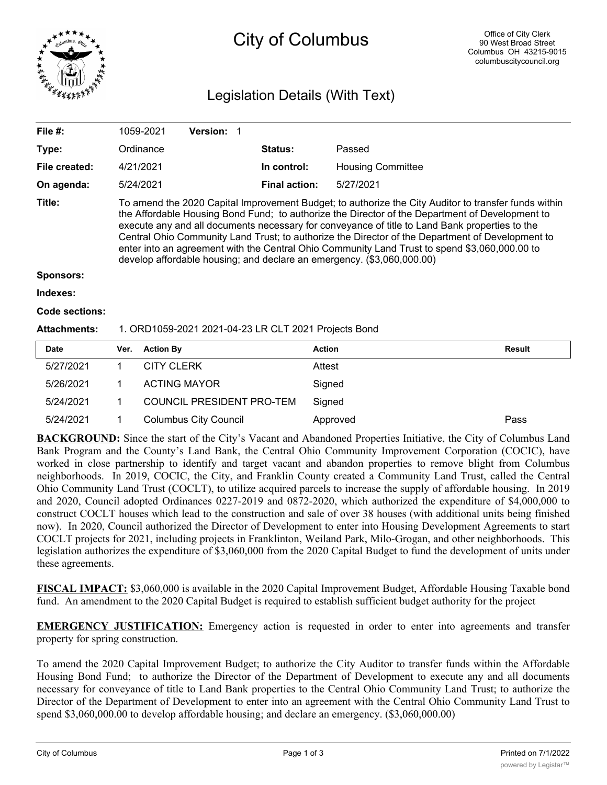

## City of Columbus

## Legislation Details (With Text)

| File #:               | 1059-2021                                                                                                                                                                                                                                                                                                                                                                                                                                                                                                                                                                                | <b>Version:</b> |                                                      |                          |
|-----------------------|------------------------------------------------------------------------------------------------------------------------------------------------------------------------------------------------------------------------------------------------------------------------------------------------------------------------------------------------------------------------------------------------------------------------------------------------------------------------------------------------------------------------------------------------------------------------------------------|-----------------|------------------------------------------------------|--------------------------|
| Type:                 | Ordinance                                                                                                                                                                                                                                                                                                                                                                                                                                                                                                                                                                                |                 | <b>Status:</b>                                       | Passed                   |
| File created:         | 4/21/2021                                                                                                                                                                                                                                                                                                                                                                                                                                                                                                                                                                                |                 | In control:                                          | <b>Housing Committee</b> |
| On agenda:            | 5/24/2021                                                                                                                                                                                                                                                                                                                                                                                                                                                                                                                                                                                |                 | <b>Final action:</b>                                 | 5/27/2021                |
| Title:                | To amend the 2020 Capital Improvement Budget; to authorize the City Auditor to transfer funds within<br>the Affordable Housing Bond Fund; to authorize the Director of the Department of Development to<br>execute any and all documents necessary for conveyance of title to Land Bank properties to the<br>Central Ohio Community Land Trust; to authorize the Director of the Department of Development to<br>enter into an agreement with the Central Ohio Community Land Trust to spend \$3,060,000.00 to<br>develop affordable housing; and declare an emergency. (\$3,060,000.00) |                 |                                                      |                          |
| <b>Sponsors:</b>      |                                                                                                                                                                                                                                                                                                                                                                                                                                                                                                                                                                                          |                 |                                                      |                          |
| Indexes:              |                                                                                                                                                                                                                                                                                                                                                                                                                                                                                                                                                                                          |                 |                                                      |                          |
| <b>Code sections:</b> |                                                                                                                                                                                                                                                                                                                                                                                                                                                                                                                                                                                          |                 |                                                      |                          |
| Attachments:          |                                                                                                                                                                                                                                                                                                                                                                                                                                                                                                                                                                                          |                 | 1. ORD1059-2021 2021-04-23 LR CLT 2021 Projects Bond |                          |

| <b>Date</b> | Ver. | <b>Action By</b>             | <b>Action</b> | <b>Result</b> |
|-------------|------|------------------------------|---------------|---------------|
| 5/27/2021   |      | <b>CITY CLERK</b>            | Attest        |               |
| 5/26/2021   |      | <b>ACTING MAYOR</b>          | Signed        |               |
| 5/24/2021   |      | COUNCIL PRESIDENT PRO-TEM    | Signed        |               |
| 5/24/2021   |      | <b>Columbus City Council</b> | Approved      | Pass          |

**BACKGROUND:** Since the start of the City's Vacant and Abandoned Properties Initiative, the City of Columbus Land Bank Program and the County's Land Bank, the Central Ohio Community Improvement Corporation (COCIC), have worked in close partnership to identify and target vacant and abandon properties to remove blight from Columbus neighborhoods. In 2019, COCIC, the City, and Franklin County created a Community Land Trust, called the Central Ohio Community Land Trust (COCLT), to utilize acquired parcels to increase the supply of affordable housing. In 2019 and 2020, Council adopted Ordinances 0227-2019 and 0872-2020, which authorized the expenditure of \$4,000,000 to construct COCLT houses which lead to the construction and sale of over 38 houses (with additional units being finished now). In 2020, Council authorized the Director of Development to enter into Housing Development Agreements to start COCLT projects for 2021, including projects in Franklinton, Weiland Park, Milo-Grogan, and other neighborhoods. This legislation authorizes the expenditure of \$3,060,000 from the 2020 Capital Budget to fund the development of units under these agreements.

**FISCAL IMPACT:** \$3,060,000 is available in the 2020 Capital Improvement Budget, Affordable Housing Taxable bond fund. An amendment to the 2020 Capital Budget is required to establish sufficient budget authority for the project

**EMERGENCY JUSTIFICATION:** Emergency action is requested in order to enter into agreements and transfer property for spring construction.

To amend the 2020 Capital Improvement Budget; to authorize the City Auditor to transfer funds within the Affordable Housing Bond Fund; to authorize the Director of the Department of Development to execute any and all documents necessary for conveyance of title to Land Bank properties to the Central Ohio Community Land Trust; to authorize the Director of the Department of Development to enter into an agreement with the Central Ohio Community Land Trust to spend \$3,060,000.00 to develop affordable housing; and declare an emergency. (\$3,060,000.00)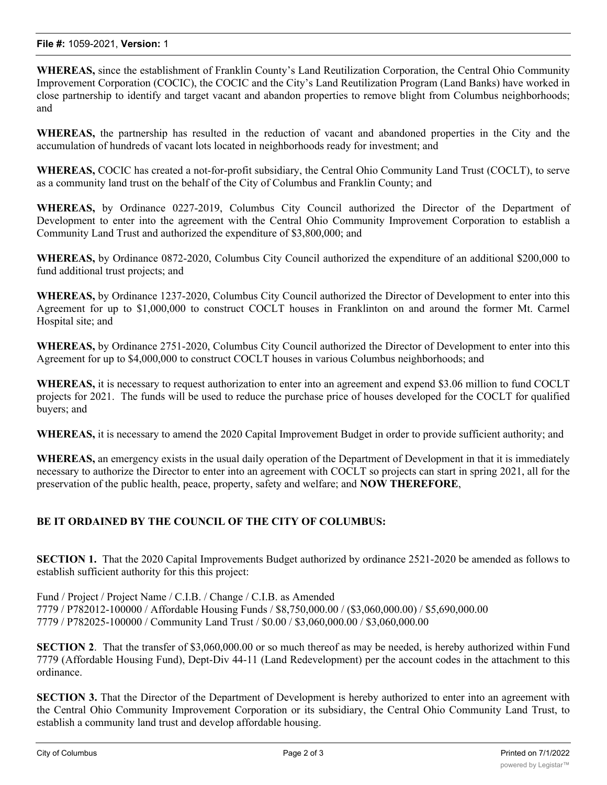**WHEREAS,** since the establishment of Franklin County's Land Reutilization Corporation, the Central Ohio Community Improvement Corporation (COCIC), the COCIC and the City's Land Reutilization Program (Land Banks) have worked in close partnership to identify and target vacant and abandon properties to remove blight from Columbus neighborhoods; and

**WHEREAS,** the partnership has resulted in the reduction of vacant and abandoned properties in the City and the accumulation of hundreds of vacant lots located in neighborhoods ready for investment; and

**WHEREAS,** COCIC has created a not-for-profit subsidiary, the Central Ohio Community Land Trust (COCLT), to serve as a community land trust on the behalf of the City of Columbus and Franklin County; and

**WHEREAS,** by Ordinance 0227-2019, Columbus City Council authorized the Director of the Department of Development to enter into the agreement with the Central Ohio Community Improvement Corporation to establish a Community Land Trust and authorized the expenditure of \$3,800,000; and

**WHEREAS,** by Ordinance 0872-2020, Columbus City Council authorized the expenditure of an additional \$200,000 to fund additional trust projects; and

**WHEREAS,** by Ordinance 1237-2020, Columbus City Council authorized the Director of Development to enter into this Agreement for up to \$1,000,000 to construct COCLT houses in Franklinton on and around the former Mt. Carmel Hospital site; and

**WHEREAS,** by Ordinance 2751-2020, Columbus City Council authorized the Director of Development to enter into this Agreement for up to \$4,000,000 to construct COCLT houses in various Columbus neighborhoods; and

**WHEREAS,** it is necessary to request authorization to enter into an agreement and expend \$3.06 million to fund COCLT projects for 2021. The funds will be used to reduce the purchase price of houses developed for the COCLT for qualified buyers; and

**WHEREAS,** it is necessary to amend the 2020 Capital Improvement Budget in order to provide sufficient authority; and

**WHEREAS,** an emergency exists in the usual daily operation of the Department of Development in that it is immediately necessary to authorize the Director to enter into an agreement with COCLT so projects can start in spring 2021, all for the preservation of the public health, peace, property, safety and welfare; and **NOW THEREFORE**,

## **BE IT ORDAINED BY THE COUNCIL OF THE CITY OF COLUMBUS:**

**SECTION 1.** That the 2020 Capital Improvements Budget authorized by ordinance 2521-2020 be amended as follows to establish sufficient authority for this this project:

Fund / Project / Project Name / C.I.B. / Change / C.I.B. as Amended 7779 / P782012-100000 / Affordable Housing Funds / \$8,750,000.00 / (\$3,060,000.00) / \$5,690,000.00 7779 / P782025-100000 / Community Land Trust / \$0.00 / \$3,060,000.00 / \$3,060,000.00

**SECTION 2.** That the transfer of \$3,060,000.00 or so much thereof as may be needed, is hereby authorized within Fund 7779 (Affordable Housing Fund), Dept-Div 44-11 (Land Redevelopment) per the account codes in the attachment to this ordinance.

**SECTION 3.** That the Director of the Department of Development is hereby authorized to enter into an agreement with the Central Ohio Community Improvement Corporation or its subsidiary, the Central Ohio Community Land Trust, to establish a community land trust and develop affordable housing.